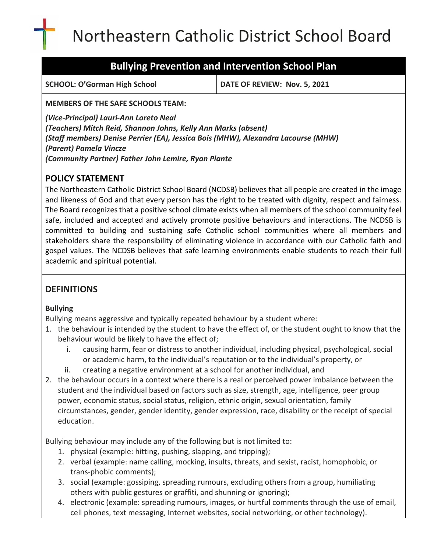# Northeastern Catholic District School Board

# **Bullying Prevention and Intervention School Plan**

**SCHOOL: O'Gorman High School DATE OF REVIEW: Nov. 5, 2021**

**MEMBERS OF THE SAFE SCHOOLS TEAM:**

*(Vice-Principal) Lauri-Ann Loreto Neal (Teachers) Mitch Reid, Shannon Johns, Kelly Ann Marks (absent) (Staff members) Denise Perrier (EA), Jessica Bois (MHW), Alexandra Lacourse (MHW) (Parent) Pamela Vincze (Community Partner) Father John Lemire, Ryan Plante* 

# **POLICY STATEMENT**

The Northeastern Catholic District School Board (NCDSB) believes that all people are created in the image and likeness of God and that every person has the right to be treated with dignity, respect and fairness. The Board recognizes that a positive school climate exists when all members of the school community feel safe, included and accepted and actively promote positive behaviours and interactions. The NCDSB is committed to building and sustaining safe Catholic school communities where all members and stakeholders share the responsibility of eliminating violence in accordance with our Catholic faith and gospel values. The NCDSB believes that safe learning environments enable students to reach their full academic and spiritual potential.

# **DEFINITIONS**

# **Bullying**

Bullying means aggressive and typically repeated behaviour by a student where:

- 1. the behaviour is intended by the student to have the effect of, or the student ought to know that the behaviour would be likely to have the effect of;
	- i. causing harm, fear or distress to another individual, including physical, psychological, social or academic harm, to the individual's reputation or to the individual's property, or
	- ii. creating a negative environment at a school for another individual, and
- 2. the behaviour occurs in a context where there is a real or perceived power imbalance between the student and the individual based on factors such as size, strength, age, intelligence, peer group power, economic status, social status, religion, ethnic origin, sexual orientation, family circumstances, gender, gender identity, gender expression, race, disability or the receipt of special education.

Bullying behaviour may include any of the following but is not limited to:

- 1. physical (example: hitting, pushing, slapping, and tripping);
- 2. verbal (example: name calling, mocking, insults, threats, and sexist, racist, homophobic, or trans‐phobic comments);
- 3. social (example: gossiping, spreading rumours, excluding others from a group, humiliating others with public gestures or graffiti, and shunning or ignoring);
- 4. electronic (example: spreading rumours, images, or hurtful comments through the use of email, cell phones, text messaging, Internet websites, social networking, or other technology).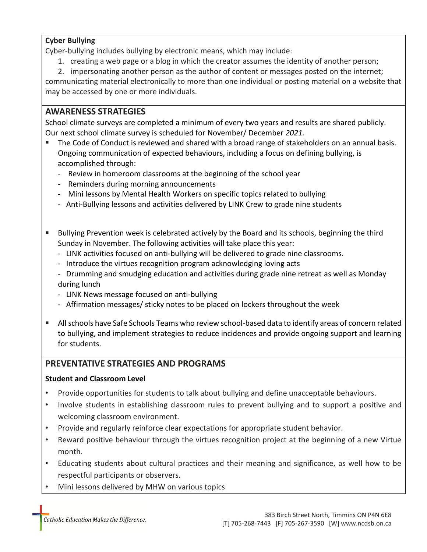#### **Cyber Bullying**

Cyber‐bullying includes bullying by electronic means, which may include:

1. creating a web page or a blog in which the creator assumes the identity of another person;

2. impersonating another person as the author of content or messages posted on the internet; communicating material electronically to more than one individual or posting material on a website that may be accessed by one or more individuals.

### **AWARENESS STRATEGIES**

School climate surveys are completed a minimum of every two years and results are shared publicly. Our next school climate survey is scheduled for November/ December *2021.*

- The Code of Conduct is reviewed and shared with a broad range of stakeholders on an annual basis. Ongoing communication of expected behaviours, including a focus on defining bullying, is accomplished through:
	- Review in homeroom classrooms at the beginning of the school year
	- Reminders during morning announcements
	- Mini lessons by Mental Health Workers on specific topics related to bullying
	- Anti-Bullying lessons and activities delivered by LINK Crew to grade nine students
- Bullying Prevention week is celebrated actively by the Board and its schools, beginning the third Sunday in November. The following activities will take place this year:
	- LINK activities focused on anti-bullying will be delivered to grade nine classrooms.
	- Introduce the virtues recognition program acknowledging loving acts
	- Drumming and smudging education and activities during grade nine retreat as well as Monday during lunch
	- LINK News message focused on anti-bullying
	- Affirmation messages/ sticky notes to be placed on lockers throughout the week
- **E** All schools have Safe Schools Teams who review school-based data to identify areas of concern related to bullying, and implement strategies to reduce incidences and provide ongoing support and learning for students.

# **PREVENTATIVE STRATEGIES AND PROGRAMS**

#### **Student and Classroom Level**

- Provide opportunities for students to talk about bullying and define unacceptable behaviours.
- Involve students in establishing classroom rules to prevent bullying and to support a positive and welcoming classroom environment.
- Provide and regularly reinforce clear expectations for appropriate student behavior.
- Reward positive behaviour through the virtues recognition project at the beginning of a new Virtue month.
- Educating students about cultural practices and their meaning and significance, as well how to be respectful participants or observers.
- Mini lessons delivered by MHW on various topics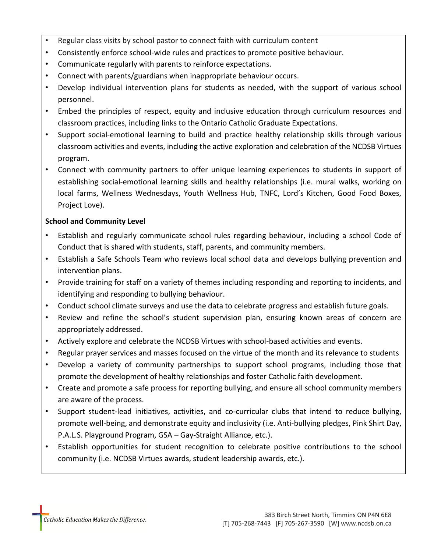- Regular class visits by school pastor to connect faith with curriculum content
- Consistently enforce school-wide rules and practices to promote positive behaviour.
- Communicate regularly with parents to reinforce expectations.
- Connect with parents/guardians when inappropriate behaviour occurs.
- Develop individual intervention plans for students as needed, with the support of various school personnel.
- Embed the principles of respect, equity and inclusive education through curriculum resources and classroom practices, including links to the Ontario Catholic Graduate Expectations.
- Support social-emotional learning to build and practice healthy relationship skills through various classroom activities and events, including the active exploration and celebration of the NCDSB Virtues program.
- Connect with community partners to offer unique learning experiences to students in support of establishing social-emotional learning skills and healthy relationships (i.e. mural walks, working on local farms, Wellness Wednesdays, Youth Wellness Hub, TNFC, Lord's Kitchen, Good Food Boxes, Project Love).

#### **School and Community Level**

- Establish and regularly communicate school rules regarding behaviour, including a school Code of Conduct that is shared with students, staff, parents, and community members.
- Establish a Safe Schools Team who reviews local school data and develops bullying prevention and intervention plans.
- Provide training for staff on a variety of themes including responding and reporting to incidents, and identifying and responding to bullying behaviour.
- Conduct school climate surveys and use the data to celebrate progress and establish future goals.
- Review and refine the school's student supervision plan, ensuring known areas of concern are appropriately addressed.
- Actively explore and celebrate the NCDSB Virtues with school-based activities and events.
- Regular prayer services and masses focused on the virtue of the month and its relevance to students
- Develop a variety of community partnerships to support school programs, including those that promote the development of healthy relationships and foster Catholic faith development.
- Create and promote a safe process for reporting bullying, and ensure all school community members are aware of the process.
- Support student-lead initiatives, activities, and co-curricular clubs that intend to reduce bullying, promote well-being, and demonstrate equity and inclusivity (i.e. Anti-bullying pledges, Pink Shirt Day, P.A.L.S. Playground Program, GSA – Gay-Straight Alliance, etc.).
- Establish opportunities for student recognition to celebrate positive contributions to the school community (i.e. NCDSB Virtues awards, student leadership awards, etc.).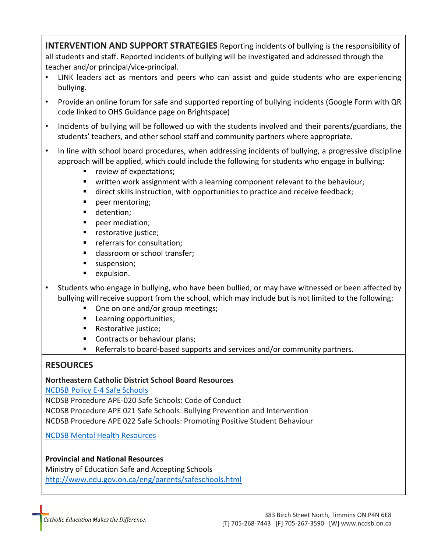**INTERVENTION AND SUPPORT STRATEGIES** Reporting incidents of bullying is the responsibility of all students and staff. Reported incidents of bullying will be investigated and addressed through the teacher and/or principal/vice-principal.

- LINK leaders act as mentors and peers who can assist and guide students who are experiencing bullying.
- Provide an online forum for safe and supported reporting of bullying incidents (Google Form with QR code linked to OHS Guidance page on Brightspace)
- Incidents of bullying will be followed up with the students involved and their parents/guardians, the students' teachers, and other school staff and community partners where appropriate.
- In line with school board procedures, when addressing incidents of bullying, a progressive discipline approach will be applied, which could include the following for students who engage in bullying:
	- review of expectations;
	- written work assignment with a learning component relevant to the behaviour;
	- direct skills instruction, with opportunities to practice and receive feedback;
	- peer mentoring;
	- **■** detention;
	- peer mediation;
	- restorative justice;
	- referrals for consultation;
	- classroom or school transfer;
	- suspension;
	- expulsion.
- Students who engage in bullying, who have been bullied, or may have witnessed or been affected by bullying will receive support from the school, which may include but is not limited to the following:
	- One on one and/or group meetings;
	- Learning opportunities;
	- Restorative justice;
	- Contracts or behaviour plans;
	- Referrals to board-based supports and services and/or community partners.

# **RESOURCES**

#### **Northeastern Catholic District School Board Resources**

NCDSB [Policy E-4 Safe Schools](https://www.ncdsb.on.ca/policy/POLICY%20MANUAL%202013/New%20Section%20E%20-%20Education,%20Schools,%20&%20Students/E-34%20Safe%20Schools.pdf)

NCDSB Procedure APE-020 Safe Schools: Code of Conduct NCDSB Procedure APE 021 Safe Schools: Bullying Prevention and Intervention NCDSB Procedure APE 022 Safe Schools: Promoting Positive Student Behaviour

NCDSB [Mental Health Resources](https://www.ncdsb.on.ca/mental-health-resourcess.php)

#### **Provincial and National Resources**

Ministry of Education Safe and Accepting Schools <http://www.edu.gov.on.ca/eng/parents/safeschools.html>